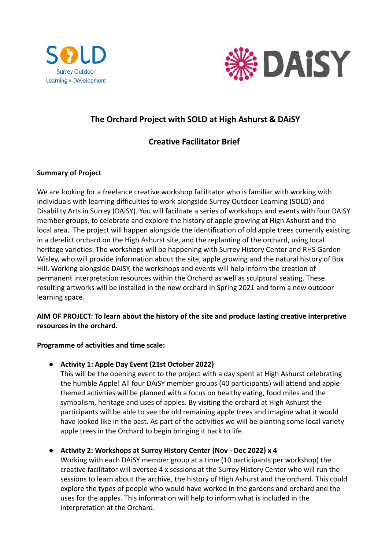



# **The Orchard Project with SOLD at High Ashurst & DAiSY**

# **Creative Facilitator Brief**

### **Summary of Project**

We are looking for a freelance creative workshop facilitator who is familiar with working with individuals with learning difficulties to work alongside Surrey Outdoor Learning (SOLD) and Disability Arts in Surrey (DAiSY). You will facilitate a series of workshops and events with four DAiSY member groups, to celebrate and explore the history of apple growing at High Ashurst and the local area. The project will happen alongside the identification of old apple trees currently existing in a derelict orchard on the High Ashurst site, and the replanting of the orchard, using local heritage varieties. The workshops will be happening with Surrey History Center and RHS Garden Wisley, who will provide information about the site, apple growing and the natural history of Box Hill. Working alongside DAiSY, the workshops and events will help inform the creation of permanent interpretation resources within the Orchard as well as sculptural seating. These resulting artworks will be installed in the new orchard in Spring 2021 and form a new outdoor learning space.

### **AIM OF PROJECT: To learn about the history of the site and produce lasting creative interpretive resources in the orchard.**

#### **Programme of activities and time scale:**

**● Activity 1: Apple Day Event (21st October 2022)**

This will be the opening event to the project with a day spent at High Ashurst celebrating the humble Apple! All four DAiSY member groups (40 participants) will attend and apple themed activities will be planned with a focus on healthy eating, food miles and the symbolism, heritage and uses of apples. By visiting the orchard at High Ashurst the participants will be able to see the old remaining apple trees and imagine what it would have looked like in the past. As part of the activities we will be planting some local variety apple trees in the Orchard to begin bringing it back to life.

# **● Activity 2: Workshops at Surrey History Center (Nov - Dec 2022) x 4**

Working with each DAiSY member group at a time (10 participants per workshop) the creative facilitator will oversee 4 x sessions at the Surrey History Center who will run the sessions to learn about the archive, the history of High Ashurst and the orchard. This could explore the types of people who would have worked in the gardens and orchard and the uses for the apples. This information will help to inform what is included in the interpretation at the Orchard.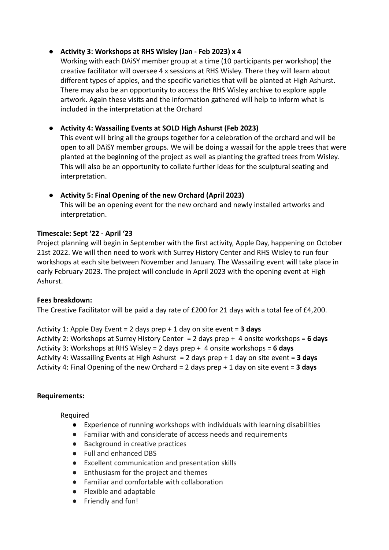### **● Activity 3: Workshops at RHS Wisley (Jan - Feb 2023) x 4**

Working with each DAiSY member group at a time (10 participants per workshop) the creative facilitator will oversee 4 x sessions at RHS Wisley. There they will learn about different types of apples, and the specific varieties that will be planted at High Ashurst. There may also be an opportunity to access the RHS Wisley archive to explore apple artwork. Again these visits and the information gathered will help to inform what is included in the interpretation at the Orchard

## **● Activity 4: Wassailing Events at SOLD High Ashurst (Feb 2023)**

This event will bring all the groups together for a celebration of the orchard and will be open to all DAiSY member groups. We will be doing a wassail for the apple trees that were planted at the beginning of the project as well as planting the grafted trees from Wisley. This will also be an opportunity to collate further ideas for the sculptural seating and interpretation.

**● Activity 5: Final Opening of the new Orchard (April 2023)** This will be an opening event for the new orchard and newly installed artworks and interpretation.

### **Timescale: Sept '22 - April '23**

Project planning will begin in September with the first activity, Apple Day, happening on October 21st 2022. We will then need to work with Surrey History Center and RHS Wisley to run four workshops at each site between November and January. The Wassailing event will take place in early February 2023. The project will conclude in April 2023 with the opening event at High Ashurst.

#### **Fees breakdown:**

The Creative Facilitator will be paid a day rate of £200 for 21 days with a total fee of £4,200.

Activity 1: Apple Day Event = 2 days prep + 1 day on site event = **3 days** Activity 2: Workshops at Surrey History Center = 2 days prep + 4 onsite workshops = **6 days** Activity 3: Workshops at RHS Wisley = 2 days prep + 4 onsite workshops = **6 days** Activity 4: Wassailing Events at High Ashurst = 2 days prep + 1 day on site event = **3 days** Activity 4: Final Opening of the new Orchard = 2 days prep + 1 day on site event = **3 days**

#### **Requirements:**

Required

- Experience of running workshops with individuals with learning disabilities
- Familiar with and considerate of access needs and requirements
- Background in creative practices
- Full and enhanced DBS
- Excellent communication and presentation skills
- Enthusiasm for the project and themes
- Familiar and comfortable with collaboration
- Flexible and adaptable
- Friendly and fun!